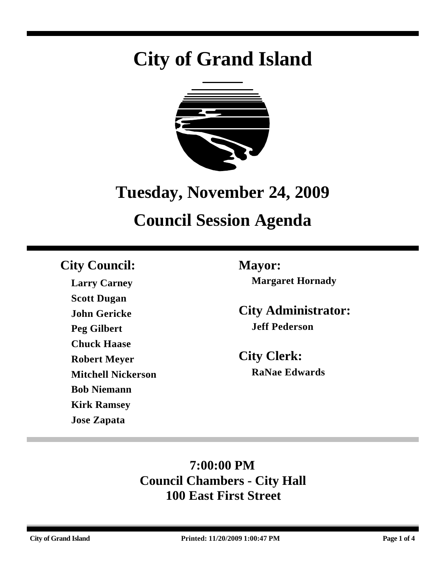# **City of Grand Island**



# **Tuesday, November 24, 2009**

# **Council Session Agenda**

# **City Council: Mayor:**

**Larry Carney Scott Dugan John Gericke Peg Gilbert Chuck Haase Robert Meyer Mitchell Nickerson Bob Niemann Kirk Ramsey Jose Zapata**

**Margaret Hornady**

**City Administrator: Jeff Pederson**

**City Clerk: RaNae Edwards**

# **7:00:00 PM Council Chambers - City Hall 100 East First Street**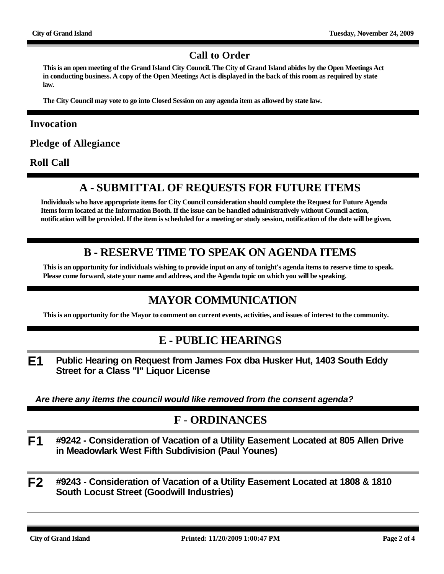#### **Call to Order**

**This is an open meeting of the Grand Island City Council. The City of Grand Island abides by the Open Meetings Act in conducting business. A copy of the Open Meetings Act is displayed in the back of this room as required by state law.**

**The City Council may vote to go into Closed Session on any agenda item as allowed by state law.**

#### **Invocation**

**Pledge of Allegiance**

**Roll Call**

# **A - SUBMITTAL OF REQUESTS FOR FUTURE ITEMS**

**Individuals who have appropriate items for City Council consideration should complete the Request for Future Agenda Items form located at the Information Booth. If the issue can be handled administratively without Council action, notification will be provided. If the item is scheduled for a meeting or study session, notification of the date will be given.**

# **B - RESERVE TIME TO SPEAK ON AGENDA ITEMS**

**This is an opportunity for individuals wishing to provide input on any of tonight's agenda items to reserve time to speak. Please come forward, state your name and address, and the Agenda topic on which you will be speaking.**

# **MAYOR COMMUNICATION**

**This is an opportunity for the Mayor to comment on current events, activities, and issues of interest to the community.**

#### **E - PUBLIC HEARINGS**

**E1 Public Hearing on Request from James Fox dba Husker Hut, 1403 South Eddy Street for a Class "I" Liquor License**

*Are there any items the council would like removed from the consent agenda?*

#### **F - ORDINANCES**

- **F1 #9242 Consideration of Vacation of a Utility Easement Located at 805 Allen Drive in Meadowlark West Fifth Subdivision (Paul Younes)**
- **F2 #9243 Consideration of Vacation of a Utility Easement Located at 1808 & 1810 South Locust Street (Goodwill Industries)**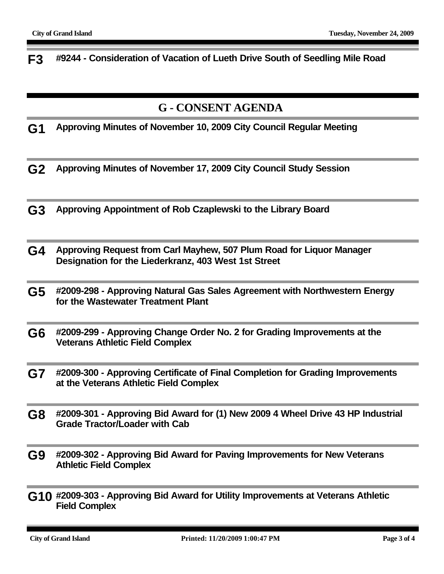**F3 #9244 - Consideration of Vacation of Lueth Drive South of Seedling Mile Road**

# **G - CONSENT AGENDA**

**G1 Approving Minutes of November 10, 2009 City Council Regular Meeting**

- **G2 Approving Minutes of November 17, 2009 City Council Study Session**
- **G3 Approving Appointment of Rob Czaplewski to the Library Board**
- **G4 Approving Request from Carl Mayhew, 507 Plum Road for Liquor Manager Designation for the Liederkranz, 403 West 1st Street**
- **G5 #2009-298 Approving Natural Gas Sales Agreement with Northwestern Energy for the Wastewater Treatment Plant**
- **G6 #2009-299 Approving Change Order No. 2 for Grading Improvements at the Veterans Athletic Field Complex**
- **G7 #2009-300 Approving Certificate of Final Completion for Grading Improvements at the Veterans Athletic Field Complex**
- **G8 #2009-301 Approving Bid Award for (1) New 2009 4 Wheel Drive 43 HP Industrial Grade Tractor/Loader with Cab**
- **G9 #2009-302 Approving Bid Award for Paving Improvements for New Veterans Athletic Field Complex**
- **G10 #2009-303 Approving Bid Award for Utility Improvements at Veterans Athletic Field Complex**